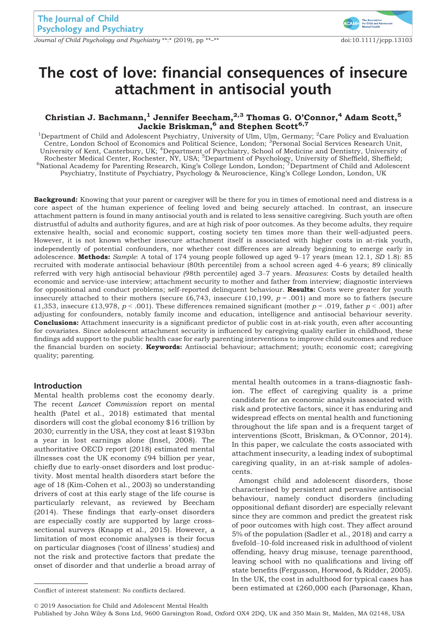Journal of Child Psychology and Psychiatry \*\*:\* (2019), pp \*\*–\*\* doi:10.1111/jcpp.13103



# The cost of love: financial consequences of insecure attachment in antisocial youth

# Christian J. Bachmann, $^1$  Jennifer Beecham, $^{2,3}$  Thomas G. O'Connor, $^4$  Adam Scott, $^5$ Jackie Briskman, $^{\rm 6}$  and Stephen Scott $^{\rm 6,7}$

<sup>1</sup>Department of Child and Adolescent Psychiatry, University of Ulm, Ulm, Germany; <sup>2</sup>Care Policy and Evaluation Centre, London School of Economics and Political Science, London; <sup>3</sup>Personal Social Services Research Unit, University of Kent, Canterbury, UK; <sup>4</sup>Department of Psychiatry, School of Medicine and Dentistry, University of Rochester Medical Center, Rochester, NY, USA; <sup>5</sup>Department of Psychology, University of Sheffield, Sheffield;<br><sup>6</sup>National Academy for Parenting Research, King's College London, London; <sup>7</sup>Department of Child and Adolescen Psychiatry, Institute of Psychiatry, Psychology & Neuroscience, King's College London, London, UK

**Background:** Knowing that your parent or caregiver will be there for you in times of emotional need and distress is a core aspect of the human experience of feeling loved and being securely attached. In contrast, an insecure attachment pattern is found in many antisocial youth and is related to less sensitive caregiving. Such youth are often distrustful of adults and authority figures, and are at high risk of poor outcomes. As they become adults, they require extensive health, social and economic support, costing society ten times more than their well-adjusted peers. However, it is not known whether insecure attachment itself is associated with higher costs in at-risk youth, independently of potential confounders, nor whether cost differences are already beginning to emerge early in adolescence. Methods: Sample: A total of 174 young people followed up aged  $9-17$  years (mean 12.1, SD 1.8): 85 recruited with moderate antisocial behaviour (80th percentile) from a school screen aged 4–6 years; 89 clinically referred with very high antisocial behaviour (98th percentile) aged 3–7 years. Measures: Costs by detailed health economic and service-use interview; attachment security to mother and father from interview; diagnostic interviews for oppositional and conduct problems; self-reported delinquent behaviour. Results: Costs were greater for youth insecurely attached to their mothers (secure £6,743, insecure £10,199,  $p = .001$ ) and more so to fathers (secure £1,353, insecure £13,978,  $p < .001$ ). These differences remained significant (mother  $p = .019$ , father  $p < .001$ ) after adjusting for confounders, notably family income and education, intelligence and antisocial behaviour severity. **Conclusions:** Attachment insecurity is a significant predictor of public cost in at-risk youth, even after accounting for covariates. Since adolescent attachment security is influenced by caregiving quality earlier in childhood, these findings add support to the public health case for early parenting interventions to improve child outcomes and reduce the financial burden on society. Keywords: Antisocial behaviour; attachment; youth; economic cost; caregiving quality; parenting.

# Introduction

Mental health problems cost the economy dearly. The recent Lancet Commission report on mental health (Patel et al., 2018) estimated that mental disorders will cost the global economy \$16 trillion by 2030; currently in the USA, they cost at least \$193bn a year in lost earnings alone (Insel, 2008). The authoritative OECD report (2018) estimated mental illnesses cost the UK economy £94 billion per year, chiefly due to early-onset disorders and lost productivity. Most mental health disorders start before the age of 18 (Kim-Cohen et al., 2003) so understanding drivers of cost at this early stage of the life course is particularly relevant, as reviewed by Beecham (2014). These findings that early-onset disorders are especially costly are supported by large crosssectional surveys (Knapp et al., 2015). However, a limitation of most economic analyses is their focus on particular diagnoses ('cost of illness' studies) and not the risk and protective factors that predate the onset of disorder and that underlie a broad array of mental health outcomes in a trans-diagnostic fashion. The effect of caregiving quality is a prime candidate for an economic analysis associated with risk and protective factors, since it has enduring and widespread effects on mental health and functioning throughout the life span and is a frequent target of interventions (Scott, Briskman, & O'Connor, 2014). In this paper, we calculate the costs associated with attachment insecurity, a leading index of suboptimal caregiving quality, in an at-risk sample of adolescents.

Amongst child and adolescent disorders, those characterised by persistent and pervasive antisocial behaviour, namely conduct disorders (including oppositional defiant disorder) are especially relevant since they are common and predict the greatest risk of poor outcomes with high cost. They affect around 5% of the population (Sadler et al., 2018) and carry a fivefold–10-fold increased risk in adulthood of violent offending, heavy drug misuse, teenage parenthood, leaving school with no qualifications and living off state benefits (Fergusson, Horwood, & Ridder, 2005). In the UK, the cost in adulthood for typical cases has Conflict of interest statement: No conflicts declared. been estimated at £260,000 each (Parsonage, Khan,

© 2019 Association for Child and Adolescent Mental Health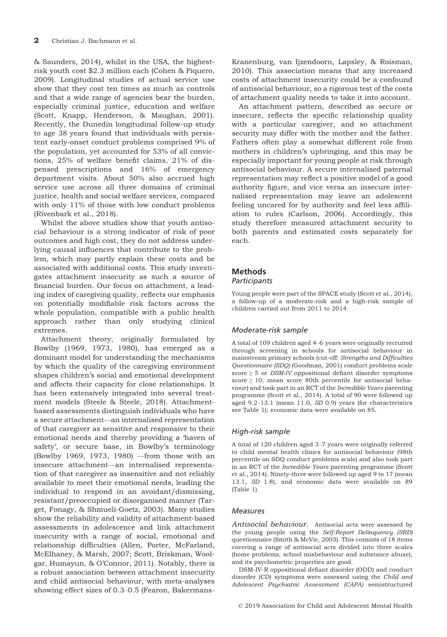& Saunders, 2014), whilst in the USA, the highestrisk youth cost \$2.3 million each (Cohen & Piquero, 2009). Longitudinal studies of actual service use show that they cost ten times as much as controls and that a wide range of agencies bear the burden, especially criminal justice, education and welfare (Scott, Knapp, Henderson, & Maughan, 2001). Recently, the Dunedin longitudinal follow-up study to age 38 years found that individuals with persistent early-onset conduct problems comprised 9% of the population, yet accounted for 53% of all convictions, 25% of welfare benefit claims, 21% of dispensed prescriptions and 16% of emergency department visits. About 50% also accrued high service use across all three domains of criminal justice, health and social welfare services, compared with only 11% of those with low conduct problems (Rivenbark et al., 2018).

Whilst the above studies show that youth antisocial behaviour is a strong indicator of risk of poor outcomes and high cost, they do not address underlying causal influences that contribute to the problem, which may partly explain these costs and be associated with additional costs. This study investigates attachment insecurity as such a source of financial burden. Our focus on attachment, a leading index of caregiving quality, reflects our emphasis on potentially modifiable risk factors across the whole population, compatible with a public health approach rather than only studying clinical extremes.

Attachment theory, originally formulated by Bowlby (1969, 1973, 1980), has emerged as a dominant model for understanding the mechanisms by which the quality of the caregiving environment shapes children's social and emotional development and affects their capacity for close relationships. It has been extensively integrated into several treatment models (Steele & Steele, 2018). Attachmentbased assessments distinguish individuals who have a secure attachment—an internalised representation of that caregiver as sensitive and responsive to their emotional needs and thereby providing a 'haven of safety', or secure base, in Bowlby's terminology (Bowlby 1969, 1973, 1980) —from those with an insecure attachment—an internalised representation of that caregiver as insensitive and not reliably available to meet their emotional needs, leading the individual to respond in an avoidant/dismissing, resistant/preoccupied or disorganised manner (Target, Fonagy, & Shmueli-Goetz, 2003). Many studies show the reliability and validity of attachment-based assessments in adolescence and link attachment insecurity with a range of social, emotional and relationship difficulties (Allen, Porter, McFarland, McElhaney, & Marsh, 2007; Scott, Briskman, Woolgar, Humayun, & O'Connor, 2011). Notably, there is a robust association between attachment insecurity and child antisocial behaviour, with meta-analyses showing effect sizes of 0.3–0.5 (Fearon, Bakermans-

Kranenburg, van Ijzendoorn, Lapsley, & Roisman, 2010). This association means that any increased costs of attachment insecurity could be a confound of antisocial behaviour, so a rigorous test of the costs of attachment quality needs to take it into account.

An attachment pattern, described as secure or insecure, reflects the specific relationship quality with a particular caregiver, and so attachment security may differ with the mother and the father. Fathers often play a somewhat different role from mothers in children's upbringing, and this may be especially important for young people at risk through antisocial behaviour. A secure internalised paternal representation may reflect a positive model of a good authority figure, and vice versa an insecure internalised representation may leave an adolescent feeling uncared for by authority and feel less affiliation to rules (Carlson, 2006). Accordingly, this study therefore measured attachment security to both parents and estimated costs separately for each.

# Methods

#### **Participants**

Young people were part of the SPACE study (Scott et al., 2014), a follow-up of a moderate-risk and a high-risk sample of children carried out from 2011 to 2014.

# Moderate-risk sample

A total of 109 children aged 4–6 years were originally recruited through screening in schools for antisocial behaviour in mainstream primary schools (cut-off: Strengths and Difficulties Questionnaire (SDQ) (Goodman, 2001) conduct problems scale score  $\geq$  5 or *DSM-IV* oppositional defiant disorder symptoms score ≥ 10; mean score 80th percentile for antisocial behaviour) and took part in an RCT of the Incredible Years parenting programme (Scott et al., 2014). A total of 90 were followed up aged 9.2–13.1 (mean 11.0, SD 0.9) years (for characteristics see Table 1); economic data were available on 85.

# High-risk sample

A total of 120 children aged 3–7 years were originally referred to child mental health clinics for antisocial behaviour (98th percentile on SDQ conduct problems scale) and also took part in an RCT of the *Incredible Years* parenting programme (Scott et al., 2014). Ninety-three were followed up aged 9 to 17 (mean 13.1, SD 1.8), and economic data were available on 89 (Table 1).

# Measures

Antisocial behaviour. Antisocial acts were assessed by the young people using the Self-Report Delinquency (SRD) questionnaire (Smith & McVie, 2003). This consists of 18 items covering a range of antisocial acts divided into three scales (home problems, school misbehaviour and substance abuse), and its psychometric properties are good.

DSM-IV-R oppositional defiant disorder (ODD) and conduct disorder (CD) symptoms were assessed using the Child and Adolescent Psychiatric Assessment (CAPA) semistructured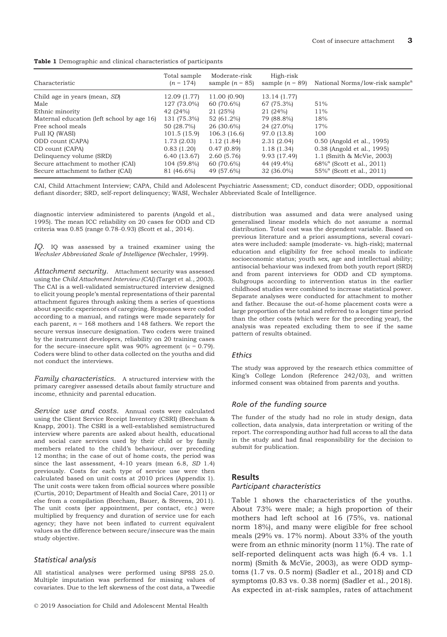Table 1 Demographic and clinical characteristics of participants

| Characteristic                             | Total sample<br>$(n = 174)$ | Moderate-risk<br>sample $(n = 85)$ | High-risk<br>sample $(n = 89)$ | National Norms/low-risk sample <sup>a</sup> |
|--------------------------------------------|-----------------------------|------------------------------------|--------------------------------|---------------------------------------------|
| Child age in years (mean, SD)              | 12.09 (1.77)                | 11.00 (0.90)                       | 13.14 (1.77)                   |                                             |
| Male                                       | 127 (73.0%)                 | 60 (70.6%)                         | 67 (75.3%)                     | 51%                                         |
| Ethnic minority                            | 42 (24%)                    | 21 (25%)                           | 21 (24%)                       | 11%                                         |
| Maternal education (left school by age 16) | 131 (75.3%)                 | 52 (61.2%)                         | 79 (88.8%)                     | 18%                                         |
| Free school meals                          | 50 (28.7%)                  | 26 (30.6%)                         | 24 (27.0%)                     | 17%                                         |
| Full IQ (WASI)                             | 101.5(15.9)                 | 106.3(16.6)                        | 97.0 (13.8)                    | 100                                         |
| ODD count (CAPA)                           | 1.73(2.03)                  | 1.12(1.84)                         | 2.31(2.04)                     | 0.50 (Angold et al., 1995)                  |
| CD count (CAPA)                            | 0.83(1.20)                  | 0.47(0.89)                         | 1.18(1.34)                     | 0.38 (Angold et al., 1995)                  |
| Delinquency volume (SRD)                   | 6.40(13.67)                 | 2.60(5.76)                         | 9.93 (17.49)                   | 1.1 (Smith & McVie, 2003)                   |
| Secure attachment to mother (CAI)          | 104 (59.8%)                 | 60 (70.6%)                         | 44 (49.4%)                     | 68% <sup>a</sup> (Scott et al., 2011)       |
| Secure attachment to father (CAI)          | 81 (46.6%)                  | 49 (57.6%)                         | 32 (36.0%)                     | 55% <sup>a</sup> (Scott et al., 2011)       |

CAI, Child Attachment Interview; CAPA, Child and Adolescent Psychiatric Assessment; CD, conduct disorder; ODD, oppositional defiant disorder; SRD, self-report delinquency; WASI, Wechsler Abbreviated Scale of Intelligence.

diagnostic interview administered to parents (Angold et al., 1995). The mean ICC reliability on 20 cases for ODD and CD criteria was 0.85 (range 0.78–0.93) (Scott et al., 2014).

IQ. IQ was assessed by a trained examiner using the Wechsler Abbreviated Scale of Intelligence (Wechsler, 1999).

Attachment security. Attachment security was assessed using the Child Attachment Interview (CAI) (Target et al., 2003). The CAI is a well-validated semistructured interview designed to elicit young people's mental representations of their parental attachment figures through asking them a series of questions about specific experiences of caregiving. Responses were coded according to a manual, and ratings were made separately for each parent,  $n = 168$  mothers and 148 fathers. We report the secure versus insecure designation. Two coders were trained by the instrument developers, reliability on 20 training cases for the secure–insecure split was 90% agreement ( $\kappa = 0.79$ ). Coders were blind to other data collected on the youths and did not conduct the interviews.

Family characteristics. A structured interview with the primary caregiver assessed details about family structure and income, ethnicity and parental education.

Service use and costs. Annual costs were calculated using the Client Service Receipt Inventory (CSRI) (Beecham & Knapp, 2001). The CSRI is a well-established semistructured interview where parents are asked about health, educational and social care services used by their child or by family members related to the child's behaviour, over preceding 12 months; in the case of out of home costs, the period was since the last assessment, 4-10 years (mean 6.8, SD 1.4) previously. Costs for each type of service use were then calculated based on unit costs at 2010 prices (Appendix 1). The unit costs were taken from official sources where possible (Curtis, 2010; Department of Health and Social Care, 2011) or else from a compilation (Beecham, Bauer, & Stevens, 2011). The unit costs (per appointment, per contact, etc.) were multiplied by frequency and duration of service use for each agency; they have not been inflated to current equivalent values as the difference between secure/insecure was the main study objective.

#### Statistical analysis

All statistical analyses were performed using SPSS 25.0. Multiple imputation was performed for missing values of covariates. Due to the left skewness of the cost data, a Tweedie

distribution was assumed and data were analysed using generalised linear models which do not assume a normal distribution. Total cost was the dependent variable. Based on previous literature and a priori assumptions, several covariates were included: sample (moderate- vs. high-risk); maternal education and eligibility for free school meals to indicate socioeconomic status; youth sex, age and intellectual ability; antisocial behaviour was indexed from both youth report (SRD) and from parent interviews for ODD and CD symptoms. Subgroups according to intervention status in the earlier childhood studies were combined to increase statistical power. Separate analyses were conducted for attachment to mother and father. Because the out-of-home placement costs were a large proportion of the total and referred to a longer time period than the other costs (which were for the preceding year), the analysis was repeated excluding them to see if the same pattern of results obtained.

#### **Ethics**

The study was approved by the research ethics committee of King's College London (Reference 242/03), and written informed consent was obtained from parents and youths.

#### Role of the funding source

The funder of the study had no role in study design, data collection, data analysis, data interpretation or writing of the report. The corresponding author had full access to all the data in the study and had final responsibility for the decision to submit for publication.

# **Results**

#### Participant characteristics

Table 1 shows the characteristics of the youths. About 73% were male; a high proportion of their mothers had left school at 16 (75%, vs. national norm 18%), and many were eligible for free school meals (29% vs. 17% norm). About 33% of the youth were from an ethnic minority (norm 11%). The rate of self-reported delinquent acts was high (6.4 vs. 1.1 norm) (Smith & McVie, 2003), as were ODD symptoms (1.7 vs. 0.5 norm) (Sadler et al., 2018) and CD symptoms (0.83 vs. 0.38 norm) (Sadler et al., 2018). As expected in at-risk samples, rates of attachment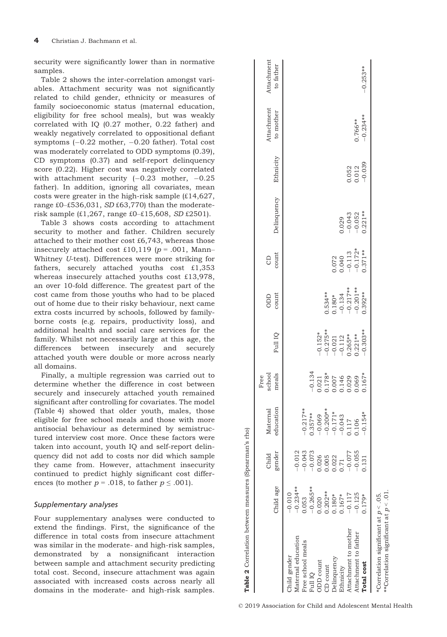security were significantly lower than in normative samples.

Table 2 shows the inter-correlation amongst variables. Attachment security was not significantly related to child gender, ethnicity or measures of family socioeconomic status (maternal education, eligibility for free school meals), but was weakly correlated with IQ (0.27 mother, 0.22 father) and weakly negatively correlated to oppositional defiant symptoms  $(-0.22 \text{ mother}, -0.20 \text{ father})$ . Total cost was moderately correlated to ODD symptoms (0.39), CD symptoms (0.37) and self-report delinquency score (0.22). Higher cost was negatively correlated with attachment security  $(-0.23 \text{ mother}, -0.25$ father). In addition, ignoring all covariates, mean costs were greater in the high-risk sample (£14,627, range  $£0–£536,031$ , SD $£63,770$ ) than the moderaterisk sample (£1,267, range £0–£15,608, SD £2501).

Table 3 shows costs according to attachment security to mother and father. Children securely attached to their mother cost £6,743, whereas those insecurely attached cost £10,119 ( $p = .001$ , Mann– Whitney U-test). Differences were more striking for fathers, securely attached youths cost £1,353 whereas insecurely attached youths cost £13,978, an over 10-fold difference. The greatest part of the cost came from those youths who had to be placed out of home due to their risky behaviour, next came extra costs incurred by schools, followed by familyborne costs (e.g. repairs, productivity loss), and additional health and social care services for the family. Whilst not necessarily large at this age, the differences between insecurely and securely attached youth were double or more across nearly all domains.

Finally, a multiple regression was carried out to determine whether the difference in cost between securely and insecurely attached youth remained significant after controlling for covariates. The model (Table 4) showed that older youth, males, those eligible for free school meals and those with more antisocial behaviour as determined by semistructured interview cost more. Once these factors were taken into account, youth IQ and self-report delinquency did not add to costs nor did which sample they came from. However, attachment insecurity continued to predict highly significant cost differences (to mother  $p = .018$ , to father  $p \le .001$ ).

# Supplementary analyses

Four supplementary analyses were conducted to extend the findings. First, the significance of the difference in total costs from insecure attachment was similar in the moderate- and high-risk samples, demonstrated by a nonsignificant interaction between sample and attachment security predicting total cost. Second, insecure attachment was again associated with increased costs across nearly all domains in the moderate- and high-risk samples.

|                                        | Child age               | gender<br>Child                                                             | education<br>Maternal                                                             | meals<br>school<br>Free | Full IQ                                                     | count<br>ODD                               | count<br>CD                                              | Delinquency          | Ethnicity                                               | Attachment<br>to mother | Attachment<br>to father |
|----------------------------------------|-------------------------|-----------------------------------------------------------------------------|-----------------------------------------------------------------------------------|-------------------------|-------------------------------------------------------------|--------------------------------------------|----------------------------------------------------------|----------------------|---------------------------------------------------------|-------------------------|-------------------------|
| Iaternal education<br>hild gender      | $-0.234***$<br>$-0.010$ | $-0.012$                                                                    |                                                                                   |                         |                                                             |                                            |                                                          |                      |                                                         |                         |                         |
| ree school meals                       | 0.053                   | $-0.043$                                                                    | $-0.217**$                                                                        |                         |                                                             |                                            |                                                          |                      |                                                         |                         |                         |
| <b>QI</b> IIn                          | $-0.265**$              | $-0.073$                                                                    | $0.357***$                                                                        | $-0.134$                |                                                             |                                            |                                                          |                      |                                                         |                         |                         |
| <b>JDD</b> count                       |                         |                                                                             |                                                                                   | 0.021                   | $-0.152*$                                                   |                                            |                                                          |                      |                                                         |                         |                         |
| CD count                               | $0.020$<br>$0.202**$    |                                                                             |                                                                                   | $0.178*$                |                                                             | $0.534**$                                  |                                                          |                      |                                                         |                         |                         |
| <b>Jelinquency</b>                     | 0.180*                  | $\begin{array}{c} 0.026 \\ 0.005 \\ 0.003 \\ 0.71 \\ -0.077 \\ \end{array}$ | $-0.069$<br>$-0.200**$<br>$-0.171*$<br>$-0.171*$<br>$-0.1743$<br>$0.106$<br>0.106 | 0.007                   | $-0.275**$<br>$-0.021$<br>$-0.112$<br>$-0.265**$<br>0.221** |                                            |                                                          |                      |                                                         |                         |                         |
| thnicity                               | $0.167*$                |                                                                             |                                                                                   | 0.146                   |                                                             |                                            |                                                          | 0.029                |                                                         |                         |                         |
| ttachment to mother                    | $-0.117$                |                                                                             |                                                                                   | 0.029                   |                                                             | $0.180*$<br>-0.134<br>-0.217**<br>-0.201** | $0.072$<br>$0.040$<br>$-0.113$<br>$-0.172*$<br>$0.371**$ | $-0.043$<br>$-0.052$ |                                                         |                         |                         |
| ittachment to father                   | $-0.125$                | $-0.055$                                                                    |                                                                                   | 0.069                   |                                                             |                                            |                                                          |                      | $\begin{array}{c} 0.052 \\ 0.012 \\ -0.039 \end{array}$ | 1.766**                 |                         |
| <b>Cotal</b> cost                      | $0.179*$                | 0.131                                                                       | $-0.154*$                                                                         | $0.167*$                | $-0.303**$                                                  | $0.392**$                                  |                                                          | $0.221**$            |                                                         | $-0.234**$              | $-0.253**$              |
| Correlation significant at $p < 0.5$ . |                         |                                                                             |                                                                                   |                         |                                                             |                                            |                                                          |                      |                                                         |                         |                         |

\*\*Correlation significant at \*\*Correlation significant at  $p < 01$ 

Table 2 Correlation between measures (Spearman's rho)

Table 2 Correlation between measures (Spearman's rho)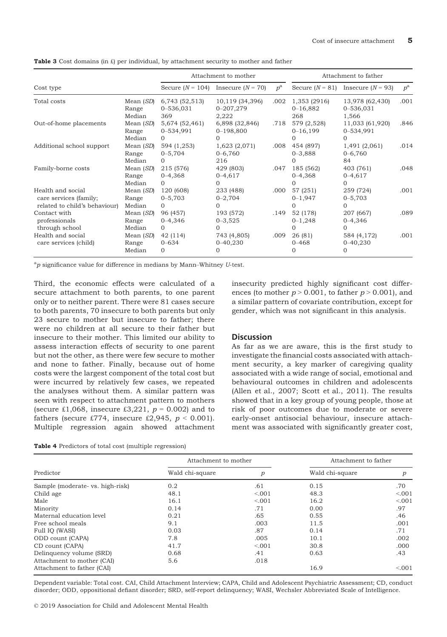|                                                                              |                              |                                         | Attachment to mother                        |             |                                      | Attachment to father                     |             |
|------------------------------------------------------------------------------|------------------------------|-----------------------------------------|---------------------------------------------|-------------|--------------------------------------|------------------------------------------|-------------|
| Cost type                                                                    |                              |                                         | Secure $(N = 104)$ Insecure $(N = 70)$      | $p^{\rm a}$ |                                      | Secure $(N = 81)$ Insecure $(N = 93)$    | $p^{\rm a}$ |
| Total costs                                                                  | Mean (SD)<br>Range<br>Median | 6,743 (52,513)<br>0-536,031<br>369      | 10,119 (34,396)<br>0-207,279<br>2,222       | .002        | 1,353 (2916)<br>$0 - 16,882$<br>268  | 13,978 (62,430)<br>0-536,031<br>1,566    | .001        |
| Out-of-home placements                                                       | Mean (SD)<br>Range<br>Median | 5,674 (52,461)<br>0-534,991<br>$\Omega$ | 6,898 (32,846)<br>$0 - 198,800$<br>$\Omega$ | .718        | 579 (2,528)<br>$0 - 16, 199$<br>0    | 11,033 (61,920)<br>0-534,991<br>$\Omega$ | .846        |
| Additional school support                                                    | Mean (SD)<br>Range<br>Median | 594 (1,253)<br>$0 - 5,704$<br>$\Omega$  | 1,623 (2,071)<br>$0 - 6,760$<br>216         | .008        | 454 (897)<br>$0 - 3,888$<br>$\Omega$ | 1,491 (2,061)<br>$0 - 6,760$<br>84       | .014        |
| Family-borne costs                                                           | Mean (SD)<br>Range<br>Median | 215 (576)<br>$0 - 4,368$<br>$\Omega$    | 429 (803)<br>$0 - 4,617$<br>$\Omega$        | .047        | 185 (562)<br>$0 - 4,368$             | 403 (761)<br>$0 - 4,617$<br>$\Omega$     | .048        |
| Health and social<br>care services (family;<br>related to child's behaviour) | Mean (SD)<br>Range<br>Median | 120 (608)<br>$0 - 5,703$<br>$\Omega$    | 233 (488)<br>$0 - 2,704$<br>$\Omega$        | .000        | 57 (251)<br>$0 - 1,947$<br>0         | 259 (724)<br>$0 - 5,703$<br>$\Omega$     | .001        |
| Contact with<br>professionals<br>through school                              | Mean (SD)<br>Range<br>Median | 96 (457)<br>$0 - 4,346$<br>$\Omega$     | 193 (572)<br>$0 - 3,525$<br>$\Omega$        | .149        | 52 (178)<br>$0 - 1,248$<br>0         | 207 (667)<br>$0 - 4,346$<br>$\Omega$     | .089        |
| Health and social<br>care services (child)                                   | Mean (SD)<br>Range<br>Median | 42 (114)<br>$0 - 634$<br>$\Omega$       | 743 (4,805)<br>$0 - 40,230$<br>$\Omega$     | .009        | 26(81)<br>$0 - 468$<br>0             | 584 (4,172)<br>$0 - 40,230$<br>$\Omega$  | .001        |

**Table 3** Cost domains (in  $f$ ) per individual, by attachment security to mother and father

 ${}^{\rm a}p$  significance value for difference in medians by Mann–Whitney  $U$ -test.

Third, the economic effects were calculated of a secure attachment to both parents, to one parent only or to neither parent. There were 81 cases secure to both parents, 70 insecure to both parents but only 23 secure to mother but insecure to father; there were no children at all secure to their father but insecure to their mother. This limited our ability to assess interaction effects of security to one parent but not the other, as there were few secure to mother and none to father. Finally, because out of home costs were the largest component of the total cost but were incurred by relatively few cases, we repeated the analyses without them. A similar pattern was seen with respect to attachment pattern to mothers (secure £1,068, insecure £3,221,  $p = 0.002$ ) and to fathers (secure £774, insecure £2,945,  $p < 0.001$ ). Multiple regression again showed attachment

| Table 4 Predictors of total cost (multiple regression) |  |
|--------------------------------------------------------|--|
|--------------------------------------------------------|--|

insecurity predicted highly significant cost differences (to mother  $p > 0.001$ , to father  $p > 0.001$ ), and a similar pattern of covariate contribution, except for gender, which was not significant in this analysis.

# **Discussion**

As far as we are aware, this is the first study to investigate the financial costs associated with attachment security, a key marker of caregiving quality associated with a wide range of social, emotional and behavioural outcomes in children and adolescents (Allen et al., 2007; Scott et al., 2011). The results showed that in a key group of young people, those at risk of poor outcomes due to moderate or severe early-onset antisocial behaviour, insecure attachment was associated with significantly greater cost,

|                                  | Attachment to mother |         | Attachment to father |         |
|----------------------------------|----------------------|---------|----------------------|---------|
| Predictor                        | Wald chi-square      | р       | Wald chi-square      | р       |
| Sample (moderate- vs. high-risk) | 0.2                  | .61     | 0.15                 | .70     |
| Child age                        | 48.1                 | < 0.001 | 48.3                 | < 0.001 |
| Male                             | 16.1                 | < 0.01  | 16.2                 | < 0.001 |
| Minority                         | 0.14                 | .71     | 0.00                 | .97     |
| Maternal education level         | 0.21                 | .65     | 0.55                 | .46     |
| Free school meals                | 9.1                  | .003    | 11.5                 | .001    |
| Full IQ (WASI)                   | 0.03                 | .87     | 0.14                 | .71     |
| ODD count (CAPA)                 | 7.8                  | .005    | 10.1                 | .002    |
| CD count (CAPA)                  | 41.7                 | < 0.01  | 30.8                 | .000    |
| Delinquency volume (SRD)         | 0.68                 | .41     | 0.63                 | .43     |
| Attachment to mother (CAI)       | 5.6                  | .018    |                      |         |
| Attachment to father (CAI)       |                      |         | 16.9                 | < 0.001 |

Dependent variable: Total cost. CAI, Child Attachment Interview; CAPA, Child and Adolescent Psychiatric Assessment; CD, conduct disorder; ODD, oppositional defiant disorder; SRD, self-report delinquency; WASI, Wechsler Abbreviated Scale of Intelligence.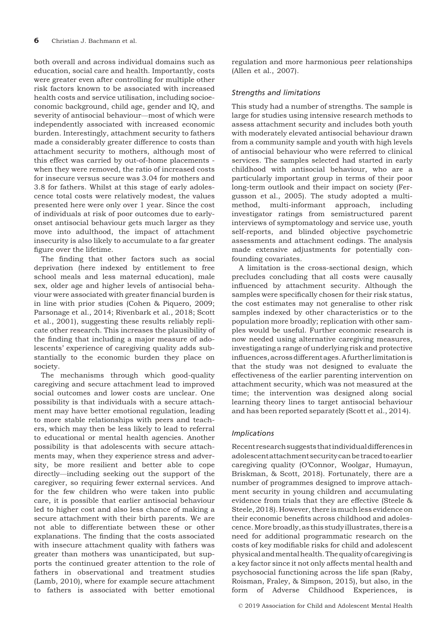both overall and across individual domains such as education, social care and health. Importantly, costs were greater even after controlling for multiple other risk factors known to be associated with increased health costs and service utilisation, including socioeconomic background, child age, gender and IQ, and severity of antisocial behaviour—most of which were independently associated with increased economic burden. Interestingly, attachment security to fathers made a considerably greater difference to costs than attachment security to mothers, although most of this effect was carried by out-of-home placements when they were removed, the ratio of increased costs for insecure versus secure was 3.04 for mothers and 3.8 for fathers. Whilst at this stage of early adolescence total costs were relatively modest, the values presented here were only over 1 year. Since the cost of individuals at risk of poor outcomes due to earlyonset antisocial behaviour gets much larger as they move into adulthood, the impact of attachment insecurity is also likely to accumulate to a far greater figure over the lifetime.

The finding that other factors such as social deprivation (here indexed by entitlement to free school meals and less maternal education), male sex, older age and higher levels of antisocial behaviour were associated with greater financial burden is in line with prior studies (Cohen & Piquero, 2009; Parsonage et al., 2014; Rivenbark et al., 2018; Scott et al., 2001), suggesting these results reliably replicate other research. This increases the plausibility of the finding that including a major measure of adolescents' experience of caregiving quality adds substantially to the economic burden they place on society.

The mechanisms through which good-quality caregiving and secure attachment lead to improved social outcomes and lower costs are unclear. One possibility is that individuals with a secure attachment may have better emotional regulation, leading to more stable relationships with peers and teachers, which may then be less likely to lead to referral to educational or mental health agencies. Another possibility is that adolescents with secure attachments may, when they experience stress and adversity, be more resilient and better able to cope directly—including seeking out the support of the caregiver, so requiring fewer external services. And for the few children who were taken into public care, it is possible that earlier antisocial behaviour led to higher cost and also less chance of making a secure attachment with their birth parents. We are not able to differentiate between these or other explanations. The finding that the costs associated with insecure attachment quality with fathers was greater than mothers was unanticipated, but supports the continued greater attention to the role of fathers in observational and treatment studies (Lamb, 2010), where for example secure attachment to fathers is associated with better emotional

regulation and more harmonious peer relationships (Allen et al., 2007).

# Strengths and limitations

This study had a number of strengths. The sample is large for studies using intensive research methods to assess attachment security and includes both youth with moderately elevated antisocial behaviour drawn from a community sample and youth with high levels of antisocial behaviour who were referred to clinical services. The samples selected had started in early childhood with antisocial behaviour, who are a particularly important group in terms of their poor long-term outlook and their impact on society (Fergusson et al., 2005). The study adopted a multimethod, multi-informant approach, including investigator ratings from semistructured parent interviews of symptomatology and service use, youth self-reports, and blinded objective psychometric assessments and attachment codings. The analysis made extensive adjustments for potentially confounding covariates.

A limitation is the cross-sectional design, which precludes concluding that all costs were causally influenced by attachment security. Although the samples were specifically chosen for their risk status, the cost estimates may not generalise to other risk samples indexed by other characteristics or to the population more broadly; replication with other samples would be useful. Further economic research is now needed using alternative caregiving measures, investigating a range of underlying risk and protective influences,acrossdifferent ages.A further limitation is that the study was not designed to evaluate the effectiveness of the earlier parenting intervention on attachment security, which was not measured at the time; the intervention was designed along social learning theory lines to target antisocial behaviour and has been reported separately (Scott et al., 2014).

# Implications

Recentresearch suggests that individualdifferences in adolescentattachment security canbe traced to earlier caregiving quality (O'Connor, Woolgar, Humayun, Briskman, & Scott, 2018). Fortunately, there are a number of programmes designed to improve attachment security in young children and accumulating evidence from trials that they are effective (Steele & Steele, 2018). However, there is much less evidence on their economic benefits across childhood and adolescence.Morebroadly, as this study illustrates, there is a need for additional programmatic research on the costs of key modifiable risks for child and adolescent physical andmentalhealth. Thequality of caregiving is a key factor since it not only affects mental health and psychosocial functioning across the life span (Raby, Roisman, Fraley, & Simpson, 2015), but also, in the form of Adverse Childhood Experiences, is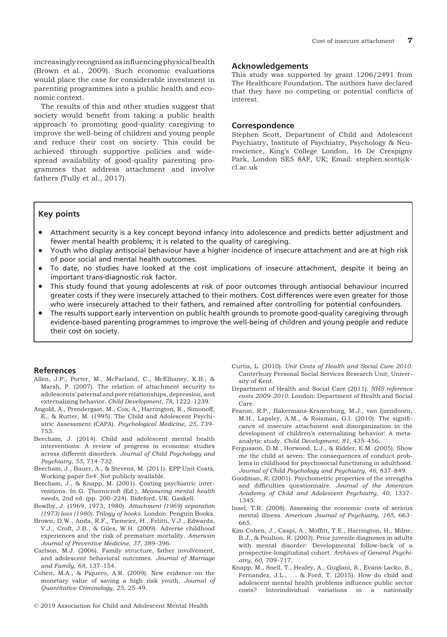increasingly recognised as influencing physical health (Brown et al., 2009). Such economic evaluations would place the case for considerable investment in parenting programmes into a public health and economic context.

The results of this and other studies suggest that society would benefit from taking a public health approach to promoting good-quality caregiving to improve the well-being of children and young people and reduce their cost on society. This could be achieved through supportive policies and widespread availability of good-quality parenting programmes that address attachment and involve fathers (Tully et al., 2017).

#### Acknowledgements

This study was supported by grant 1206/2491 from The Healthcare Foundation. The authors have declared that they have no competing or potential conflicts of interest.

#### Correspondence

Stephen Scott, Department of Child and Adolescent Psychiatry, Institute of Psychiatry, Psychology & Neuroscience, King's College London, 16 De Crespigny Park, London SE5 8AF, UK; Email: stephen.scott@kcl.ac.uk

# Key points

- Attachment security is a key concept beyond infancy into adolescence and predicts better adjustment and fewer mental health problems; it is related to the quality of caregiving.
- Youth who display antisocial behaviour have a higher incidence of insecure attachment and are at high risk of poor social and mental health outcomes.
- To date, no studies have looked at the cost implications of insecure attachment, despite it being an important trans-diagnostic risk factor.
- This study found that young adolescents at risk of poor outcomes through antisocial behaviour incurred greater costs if they were insecurely attached to their mothers. Cost differences were even greater for those who were insecurely attached to their fathers, and remained after controlling for potential confounders.
- The results support early intervention on public health grounds to promote good-quality caregiving through evidence-based parenting programmes to improve the well-being of children and young people and reduce their cost on society.

#### References

- Allen, J.P., Porter, M., McFarland, C., McElhaney, K.B., & Marsh, P. (2007). The relation of attachment security to adolescents' paternal and peer relationships, depression, and externalizing behavior. Child Development, 78, 1222–1239.
- Angold, A., Prendergast, M., Cox, A., Harrington, R., Simonoff, E., & Rutter, M. (1995). The Child and Adolescent Psychiatric Assessment (CAPA). Psychological Medicine, 25, 739– 753.
- Beecham, J. (2014). Child and adolescent mental health interventions: A review of progress in economic studies across different disorders. Journal of Child Psychology and Psychiatry, 55, 714–732.
- Beecham, J., Bauer, A., & Stevens, M. (2011). EPP Unit Costs, Working paper 5v4. Not publicly available.
- Beecham, J., & Knapp, M. (2001). Costing psychiatric interventions. In G. Thornicroft (Ed.), Measuring mental health needs, 2nd ed. (pp. 200–224). Bideford, UK: Gaskell.
- Bowlby, J. (1969, 1973, 1980). Attachment (1969) separation (1973) loss (1980). Trilogy of books. London: Penguin Books.
- Brown, D.W., Anda, R.F., Tiemeier, H., Felitti, V.J., Edwards, V.J., Croft, J.B., & Giles, W.H. (2009). Adverse childhood experiences and the risk of premature mortality. American Journal of Preventive Medicine, 37, 389–396.
- Carlson, M.J. (2006). Family structure, father involvement, and adolescent behavioral outcomes. Journal of Marriage and Family, 68, 137–154.
- Cohen, M.A., & Piquero, A.R. (2009). New evidence on the monetary value of saving a high risk youth. Journal of Quantitative Criminology, 25, 25–49.
- Curtis, L. (2010). Unit Costs of Health and Social Care 2010. Canterbury Personal Social Services Research Unit, University of Kent.
- Department of Health and Social Care (2011). NHS reference costs 2009–2010. London: Department of Health and Social Care.
- Fearon, R.P., Bakermans-Kranenburg, M.J., van Ijzendoorn, M.H., Lapsley, A.M., & Roisman, G.I. (2010). The significance of insecure attachment and disorganization in the development of children's externalizing behavior: A metaanalytic study. Child Development, 81, 435–456.
- Fergusson, D.M., Horwood, L.J., & Ridder, E.M. (2005). Show me the child at seven: The consequences of conduct problems in childhood for psychosocial functioning in adulthood. Journal of Child Psychology and Psychiatry, 46, 837–849.
- Goodman, R. (2001). Psychometric properties of the strengths and difficulties questionnaire. Journal of the American Academy of Child and Adolescent Psychiatry, 40, 1337– 1345.
- Insel, T.R. (2008). Assessing the economic costs of serious mental illness. American Journal of Psychiatry, 165, 663– 665.
- Kim-Cohen, J., Caspi, A., Moffitt, T.E., Harrington, H., Milne, B.J., & Poulton, R. (2003). Prior juvenile diagnoses in adults with mental disorder: Developmental follow-back of a prospective-longitudinal cohort. Archives of General Psychiatry, 60, 709–717.
- Knapp, M., Snell, T., Healey, A., Guglani, S., Evans-Lacko, S., Fernandez, J.L., ... & Ford, T. (2015). How do child and adolescent mental health problems influence public sector costs? Interindividual variations in a nationally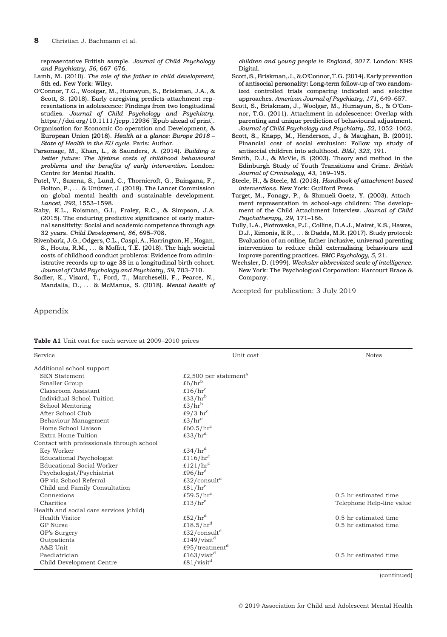representative British sample. Journal of Child Psychology and Psychiatry, 56, 667–676.

- Lamb, M. (2010). The role of the father in child development, 5th ed. New York: Wiley.
- O'Connor, T.G., Woolgar, M., Humayun, S., Briskman, J.A., & Scott, S. (2018). Early caregiving predicts attachment representations in adolescence: Findings from two longitudinal studies. Journal of Child Psychology and Psychiatry. <https://doi.org/10.1111/jcpp.12936> [Epub ahead of print].
- Organisation for Economic Co-operation and Development, & European Union (2018). Health at a glance: Europe 2018 – State of Health in the EU cycle. Paris: Author.
- Parsonage, M., Khan, L., & Saunders, A. (2014). Building a better future: The lifetime costs of childhood behavioural problems and the benefits of early intervention. London: Centre for Mental Health.
- Patel, V., Saxena, S., Lund, C., Thornicroft, G., Baingana, F., Bolton, P.,  $\dots$  & Unützer, J. (2018). The Lancet Commission on global mental health and sustainable development. Lancet, 392, 1553–1598.
- Raby, K.L., Roisman, G.I., Fraley, R.C., & Simpson, J.A. (2015). The enduring predictive significance of early maternal sensitivity: Social and academic competence through age 32 years. Child Development, 86, 695–708.
- Rivenbark, J.G., Odgers, C.L., Caspi, A., Harrington, H., Hogan, S., Houts, R.M., ... & Moffitt, T.E. (2018). The high societal costs of childhood conduct problems: Evidence from administrative records up to age 38 in a longitudinal birth cohort. Journal of Child Psychology and Psychiatry, 59, 703–710.
- Sadler, K., Vizard, T., Ford, T., Marcheselli, F., Pearce, N., Mandalia, D., ... & McManus, S. (2018). Mental health of

children and young people in England, 2017. London: NHS Digital.

- Scott,S., Briskman, J., & O'Connor, T.G. (2014). Early prevention Early preventionof antisocial personality: Long-term follow-up of two randomized controlled trials comparing indicated and selective approaches. American Journal of Psychiatry, 171, 649–657.
- Scott, S., Briskman, J., Woolgar, M., Humayun, S., & O'Connor, T.G. (2011). Attachment in adolescence: Overlap with parenting and unique prediction of behavioural adjustment. Journal of Child Psychology and Psychiatry, 52, 1052–1062. –
- Scott, S., Knapp, M., Henderson, J., & Maughan, B. (2001). Financial cost of social exclusion: Follow up study of antisocial children into adulthood. BMJ, 323, 191.
- Smith, D.J., & McVie, S. (2003). Theory and method in the Edinburgh Study of Youth Transitions and Crime. British Journal of Criminology, 43, 169–195.
- Steele, H., & Steele, M. (2018). Handbook of attachment-based interventions. New York: Guilford Press.
- Target, M., Fonagy, P., & Shmueli-Goetz, Y. (2003). Attachment representation in school-age children: The development of the Child Attachment Interview. Journal of Child Psychotherapy, 29, 171–186.
- Tully, L.A., Piotrowska, P.J., Collins, D.A.J., Mairet, K.S., Hawes, D.J., Kimonis, E.R., ... & Dadds, M.R. (2017). Study protocol: Evaluation of an online, father-inclusive, universal parenting intervention to reduce child externalising behaviours and improve parenting practices. BMC Psychology, 5, 21.
- Wechsler, D. (1999). Wechsler abbreviated scale of intelligence. New York: The Psychological Corporation: Harcourt Brace & Company.

Accepted for publication: 3 July 2019

Appendix

|  |  |  | <b>Table A1</b> Unit cost for each service at 2009–2010 prices |  |
|--|--|--|----------------------------------------------------------------|--|
|  |  |  |                                                                |  |

| Service                                   | Unit cost                              | <b>Notes</b>              |
|-------------------------------------------|----------------------------------------|---------------------------|
| Additional school support                 |                                        |                           |
| <b>SEN Statement</b>                      | £2,500 per statement <sup>a</sup>      |                           |
| Smaller Group                             | £6/ $hr^b$                             |                           |
| Classroom Assistant                       | £16/ $hrc$                             |                           |
| Individual School Tuition                 | £33/ $hrb$                             |                           |
| School Mentoring                          | £3/ $hrb$                              |                           |
| After School Club                         | £9/3 $hr^c$                            |                           |
| Behaviour Management                      | $\text{\pounds}3/\text{hr}^{\text{c}}$ |                           |
| Home School Liaison                       | £60.5/ $hrc$                           |                           |
| Extra Home Tuition                        | £33/ $hrd$                             |                           |
| Contact with professionals through school |                                        |                           |
| Key Worker                                | £34/ $hrd$                             |                           |
| <b>Educational Psychologist</b>           | £116/ $hrc$                            |                           |
| Educational Social Worker                 | £121/ $hrc$                            |                           |
| Psychologist/Psychiatrist                 | £96/ $hrd$                             |                           |
| GP via School Referral                    | £32/consult <sup>d</sup>               |                           |
| Child and Family Consultation             | $\text{\pounds}81/\text{hr}^c$         |                           |
| Connexions                                | £59.5/ $hrc$                           | 0.5 hr estimated time     |
| Charities                                 | £13/ $hrc$                             | Telephone Help-line value |
| Health and social care services (child)   |                                        |                           |
| Health Visitor                            | £52/ $hrd$                             | 0.5 hr estimated time     |
| <b>GP</b> Nurse                           | £18.5/ $hrd$                           | 0.5 hr estimated time     |
| GP's Surgery                              | £32/consult <sup>d</sup>               |                           |
| Outpatients                               | £149/visit <sup>d</sup>                |                           |
| A&E Unit                                  | £95/treatment <sup>d</sup>             |                           |
| Paediatrician                             | £163/visit <sup>d</sup>                | 0.5 hr estimated time     |
| Child Development Centre                  | £81/visit <sup>d</sup>                 |                           |

(continued)